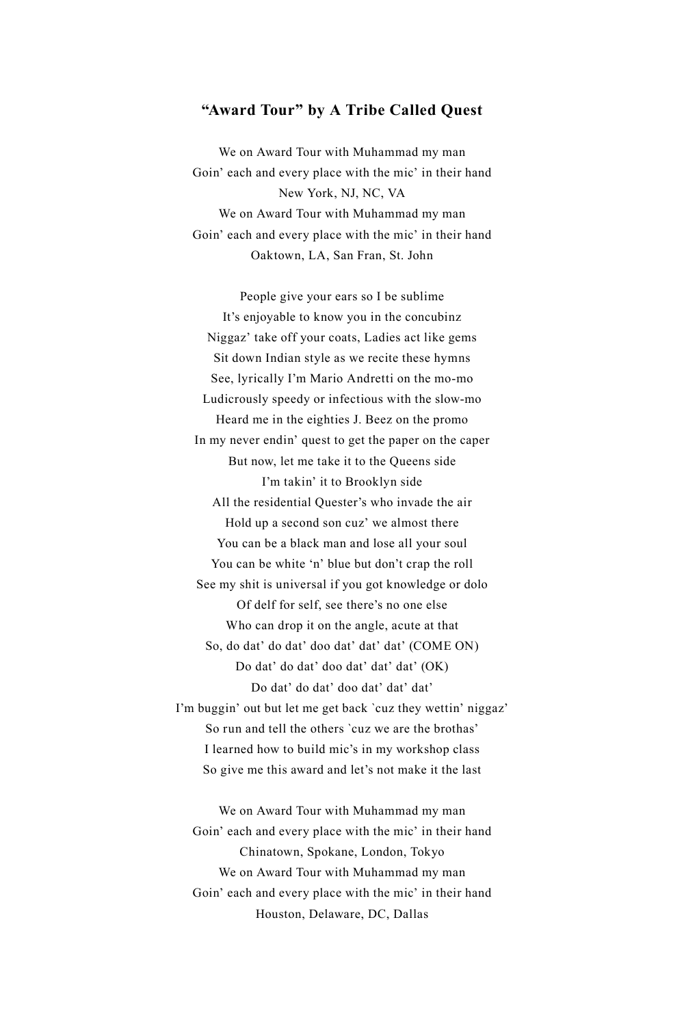## **"Award Tour" by A Tribe Called Quest**

We on Award Tour with Muhammad my man Goin' each and every place with the mic' in their hand New York, NJ, NC, VA We on Award Tour with Muhammad my man Goin' each and every place with the mic' in their hand Oaktown, LA, San Fran, St. John

People give your ears so I be sublime It's enjoyable to know you in the concubinz Niggaz' take off your coats, Ladies act like gems Sit down Indian style as we recite these hymns See, lyrically I'm Mario Andretti on the mo-mo Ludicrously speedy or infectious with the slow-mo Heard me in the eighties J. Beez on the promo In my never endin' quest to get the paper on the caper But now, let me take it to the Queens side I'm takin' it to Brooklyn side All the residential Quester's who invade the air Hold up a second son cuz' we almost there You can be a black man and lose all your soul You can be white 'n' blue but don't crap the roll See my shit is universal if you got knowledge or dolo Of delf for self, see there's no one else Who can drop it on the angle, acute at that So, do dat' do dat' doo dat' dat' dat' (COME ON) Do dat' do dat' doo dat' dat' dat' (OK) Do dat' do dat' doo dat' dat' dat' I'm buggin' out but let me get back `cuz they wettin' niggaz' So run and tell the others `cuz we are the brothas' I learned how to build mic's in my workshop class So give me this award and let's not make it the last

We on Award Tour with Muhammad my man Goin' each and every place with the mic' in their hand Chinatown, Spokane, London, Tokyo We on Award Tour with Muhammad my man Goin' each and every place with the mic' in their hand Houston, Delaware, DC, Dallas